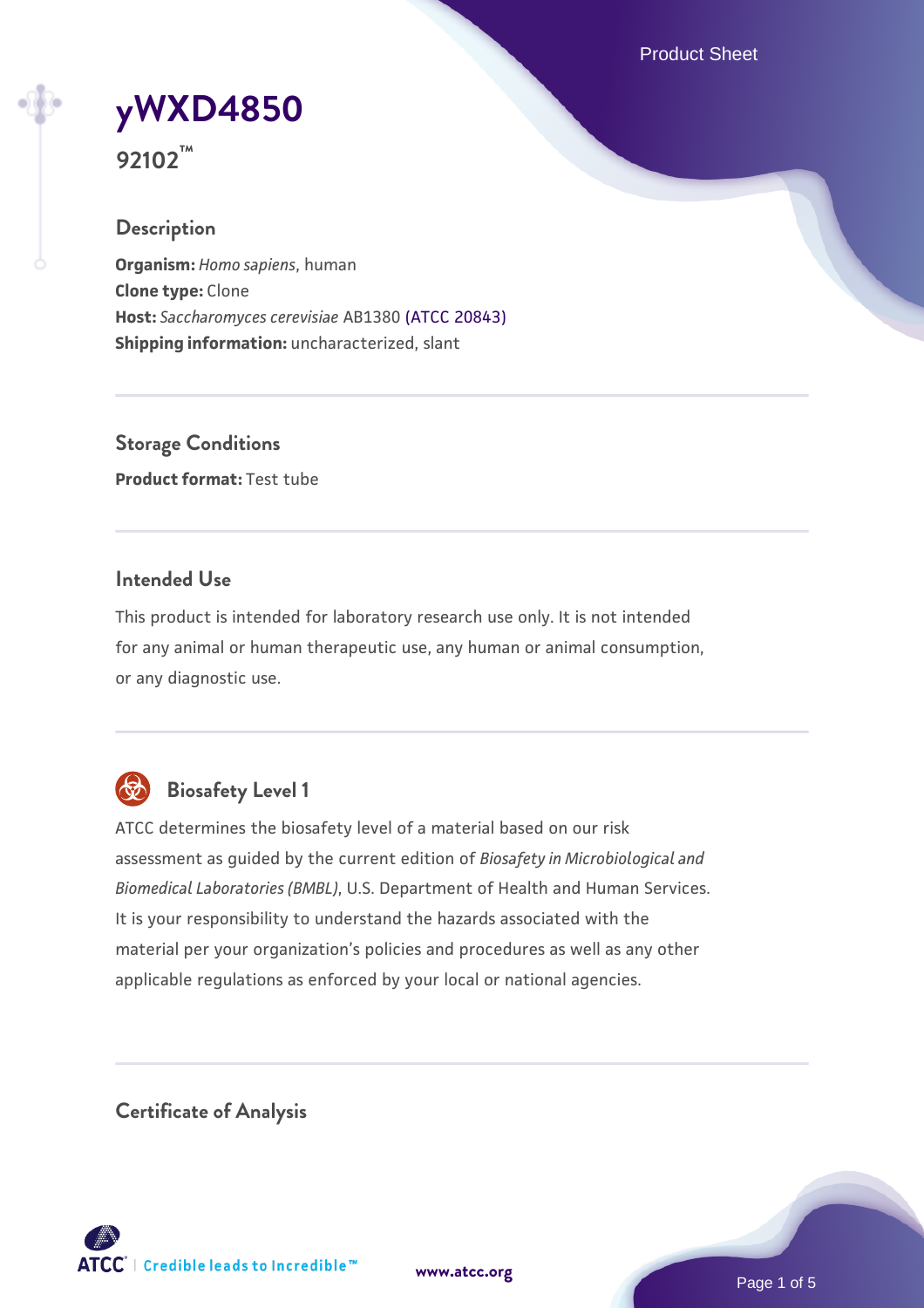Product Sheet



**92102™**

## **Description**

**Organism:** *Homo sapiens*, human **Clone type:** Clone **Host:** *Saccharomyces cerevisiae* AB1380 [\(ATCC 20843\)](https://www.atcc.org/products/20843) **Shipping information:** uncharacterized, slant

**Storage Conditions Product format:** Test tube

## **Intended Use**

This product is intended for laboratory research use only. It is not intended for any animal or human therapeutic use, any human or animal consumption, or any diagnostic use.



## **Biosafety Level 1**

ATCC determines the biosafety level of a material based on our risk assessment as guided by the current edition of *Biosafety in Microbiological and Biomedical Laboratories (BMBL)*, U.S. Department of Health and Human Services. It is your responsibility to understand the hazards associated with the material per your organization's policies and procedures as well as any other applicable regulations as enforced by your local or national agencies.

**Certificate of Analysis**

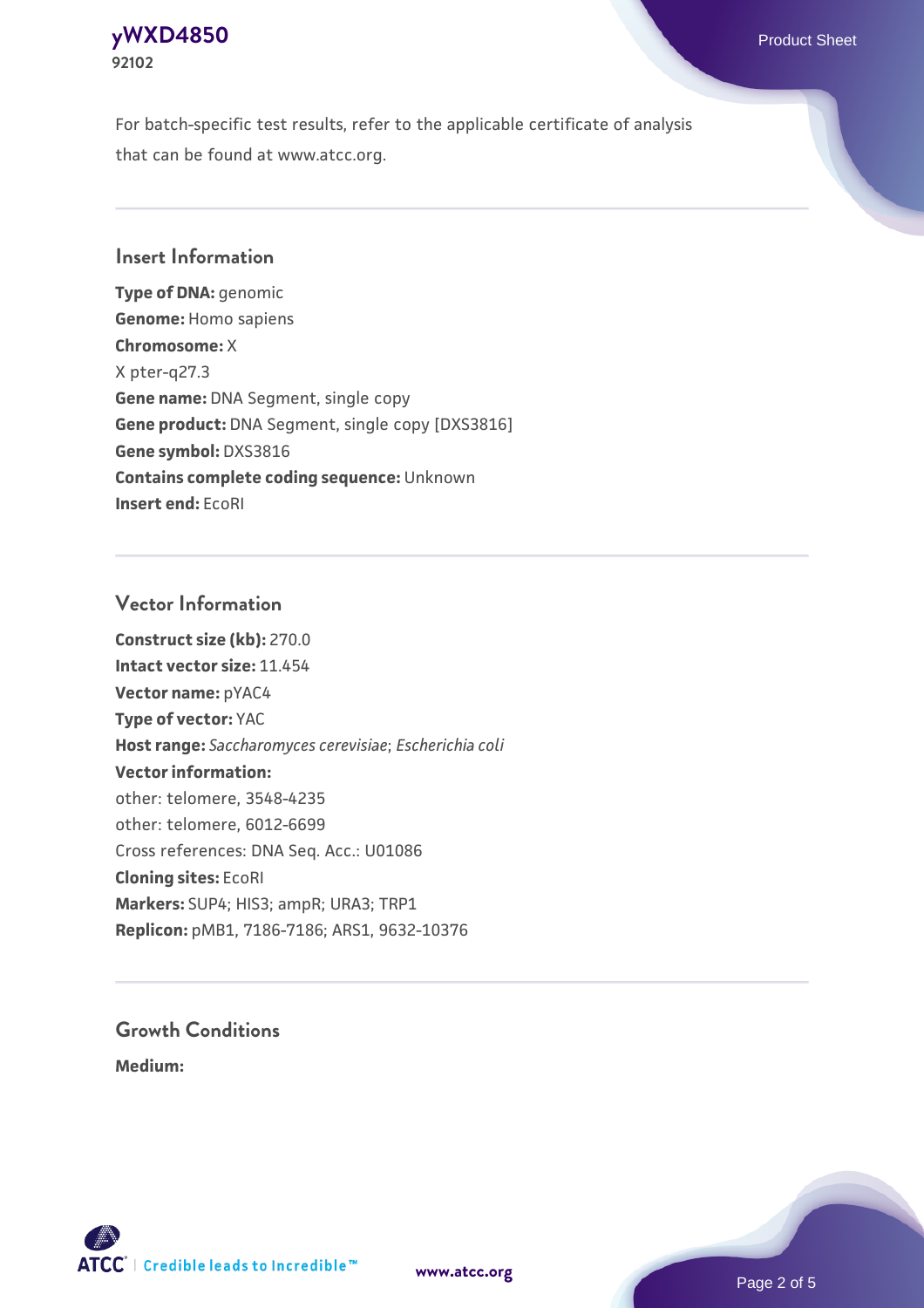## **[yWXD4850](https://www.atcc.org/products/92102)** Product Sheet **92102**

For batch-specific test results, refer to the applicable certificate of analysis that can be found at www.atcc.org.

## **Insert Information**

**Type of DNA:** genomic **Genome:** Homo sapiens **Chromosome:** X X pter-q27.3 **Gene name:** DNA Segment, single copy **Gene product:** DNA Segment, single copy [DXS3816] **Gene symbol:** DXS3816 **Contains complete coding sequence:** Unknown **Insert end:** EcoRI

## **Vector Information**

**Construct size (kb):** 270.0 **Intact vector size:** 11.454 **Vector name:** pYAC4 **Type of vector:** YAC **Host range:** *Saccharomyces cerevisiae*; *Escherichia coli* **Vector information:** other: telomere, 3548-4235 other: telomere, 6012-6699 Cross references: DNA Seq. Acc.: U01086 **Cloning sites:** EcoRI **Markers:** SUP4; HIS3; ampR; URA3; TRP1 **Replicon:** pMB1, 7186-7186; ARS1, 9632-10376

# **Growth Conditions**

**Medium:** 



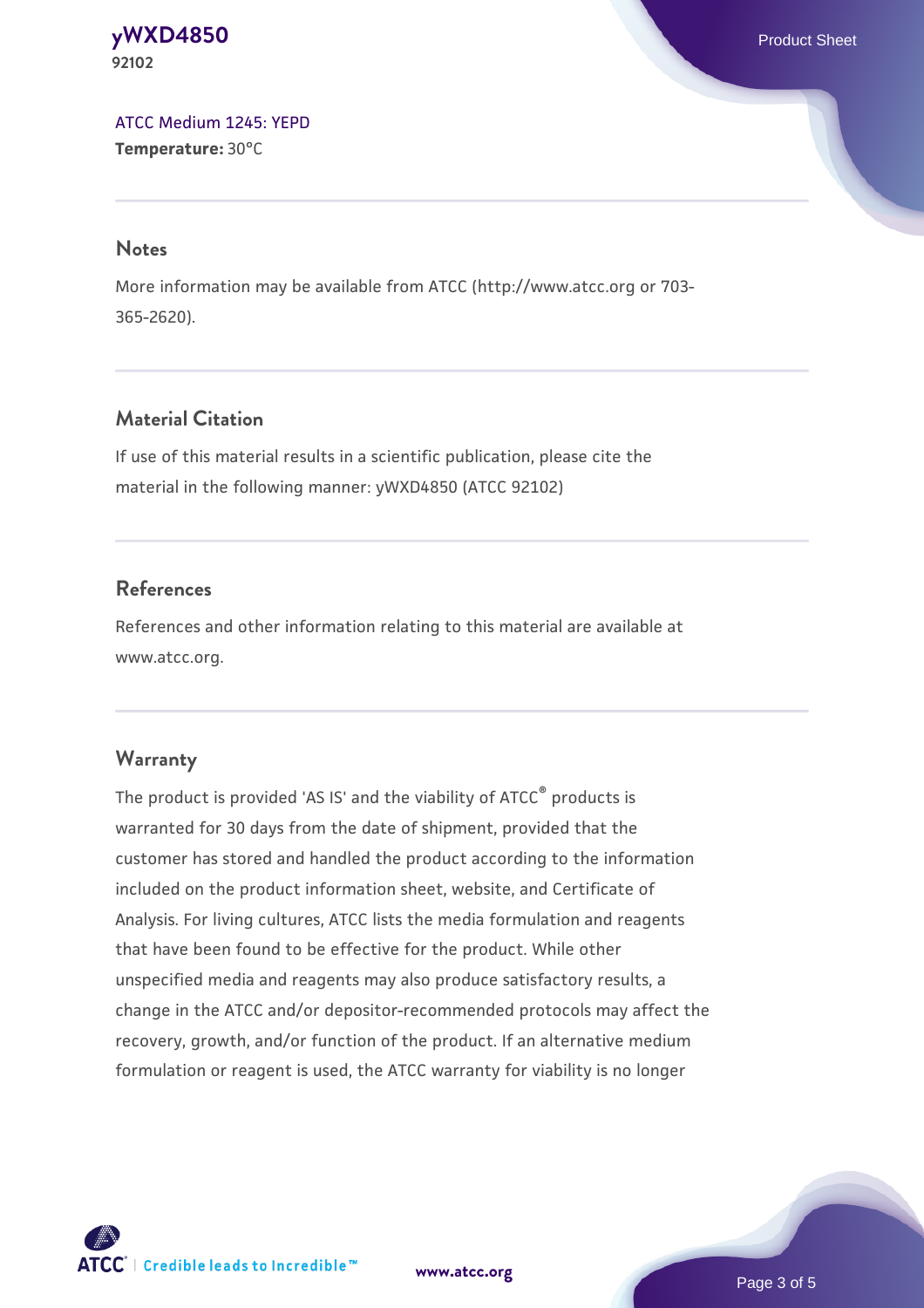#### **[yWXD4850](https://www.atcc.org/products/92102)** Product Sheet **92102**

[ATCC Medium 1245: YEPD](https://www.atcc.org/-/media/product-assets/documents/microbial-media-formulations/1/2/4/5/atcc-medium-1245.pdf?rev=705ca55d1b6f490a808a965d5c072196) **Temperature:** 30°C

#### **Notes**

More information may be available from ATCC (http://www.atcc.org or 703- 365-2620).

## **Material Citation**

If use of this material results in a scientific publication, please cite the material in the following manner: yWXD4850 (ATCC 92102)

## **References**

References and other information relating to this material are available at www.atcc.org.

## **Warranty**

The product is provided 'AS IS' and the viability of ATCC® products is warranted for 30 days from the date of shipment, provided that the customer has stored and handled the product according to the information included on the product information sheet, website, and Certificate of Analysis. For living cultures, ATCC lists the media formulation and reagents that have been found to be effective for the product. While other unspecified media and reagents may also produce satisfactory results, a change in the ATCC and/or depositor-recommended protocols may affect the recovery, growth, and/or function of the product. If an alternative medium formulation or reagent is used, the ATCC warranty for viability is no longer



**[www.atcc.org](http://www.atcc.org)**

Page 3 of 5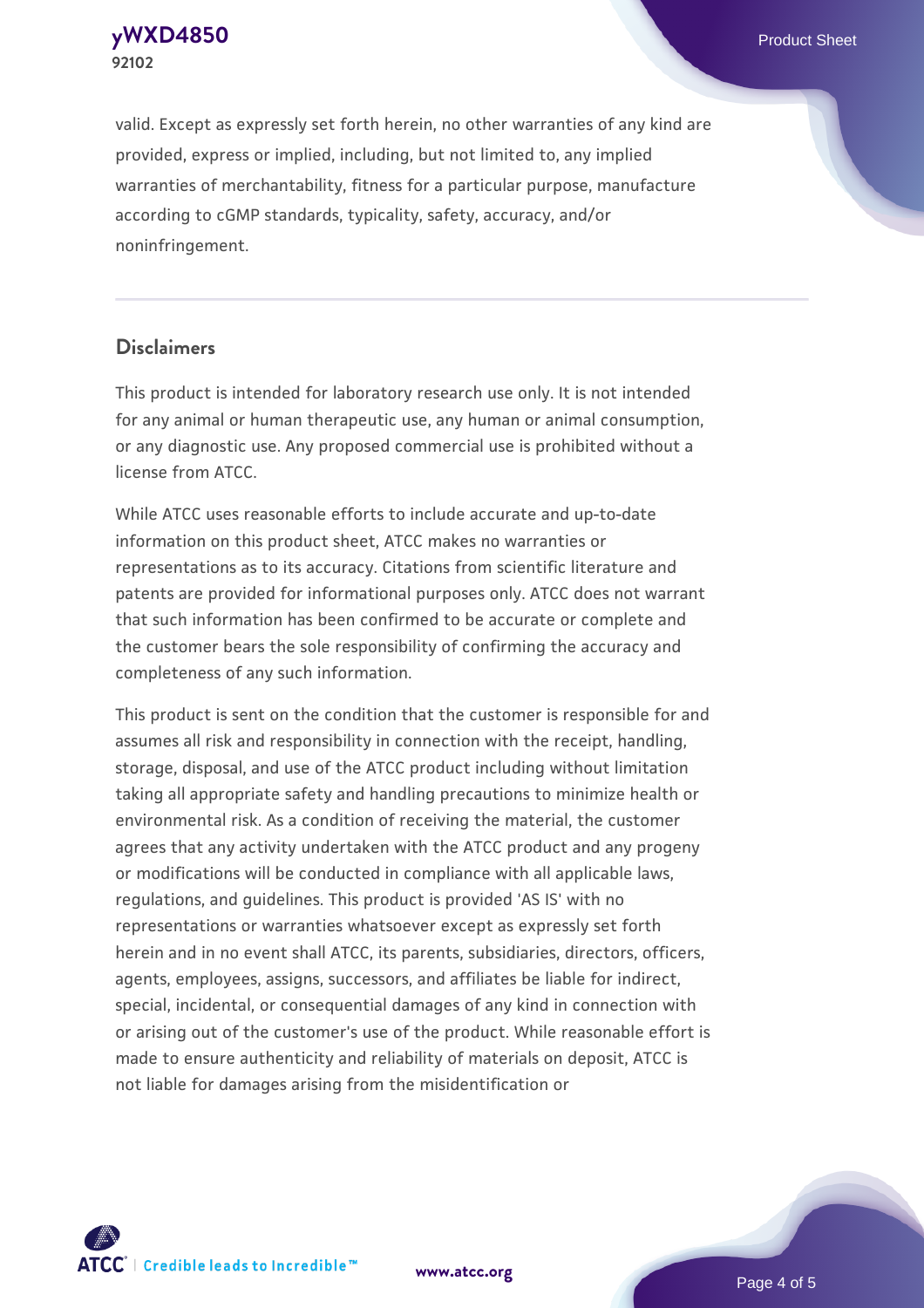**[yWXD4850](https://www.atcc.org/products/92102)** Product Sheet **92102**

valid. Except as expressly set forth herein, no other warranties of any kind are provided, express or implied, including, but not limited to, any implied warranties of merchantability, fitness for a particular purpose, manufacture according to cGMP standards, typicality, safety, accuracy, and/or noninfringement.

#### **Disclaimers**

This product is intended for laboratory research use only. It is not intended for any animal or human therapeutic use, any human or animal consumption, or any diagnostic use. Any proposed commercial use is prohibited without a license from ATCC.

While ATCC uses reasonable efforts to include accurate and up-to-date information on this product sheet, ATCC makes no warranties or representations as to its accuracy. Citations from scientific literature and patents are provided for informational purposes only. ATCC does not warrant that such information has been confirmed to be accurate or complete and the customer bears the sole responsibility of confirming the accuracy and completeness of any such information.

This product is sent on the condition that the customer is responsible for and assumes all risk and responsibility in connection with the receipt, handling, storage, disposal, and use of the ATCC product including without limitation taking all appropriate safety and handling precautions to minimize health or environmental risk. As a condition of receiving the material, the customer agrees that any activity undertaken with the ATCC product and any progeny or modifications will be conducted in compliance with all applicable laws, regulations, and guidelines. This product is provided 'AS IS' with no representations or warranties whatsoever except as expressly set forth herein and in no event shall ATCC, its parents, subsidiaries, directors, officers, agents, employees, assigns, successors, and affiliates be liable for indirect, special, incidental, or consequential damages of any kind in connection with or arising out of the customer's use of the product. While reasonable effort is made to ensure authenticity and reliability of materials on deposit, ATCC is not liable for damages arising from the misidentification or



**[www.atcc.org](http://www.atcc.org)**

Page 4 of 5